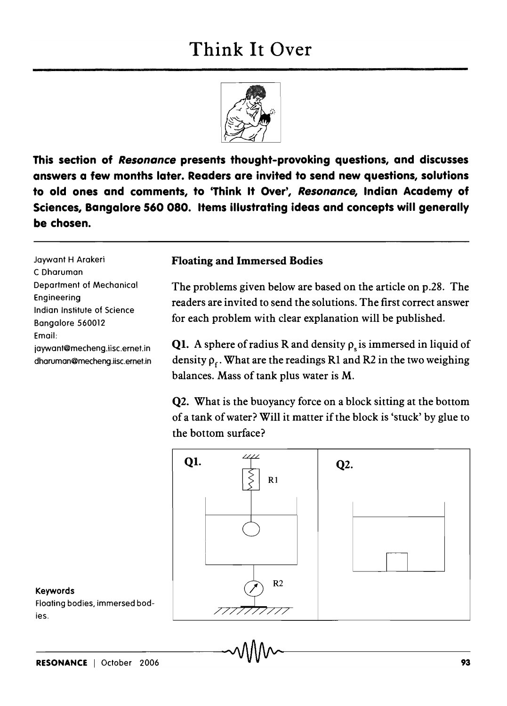## Think It Over



This section of Resonance presents thought-provoking questions, and discusses answers a few months later. Readers are invited to send new questions, solutions to old ones and comments, to 'Think It Over', Resonance, Indian Academy of Sciences, Bangalore 560080. Items illustrating ideas and concepts will generally be chosen.

Jaywant H Arakeri C Dharuman Department of Mechanical Engineering Indian Institute of Science Bangalore 560012 Email: jaywant@mecheng.iisc.ernet.in dharuman@mecheng.iisc.ernet.in

## Floating and Immersed Bodies

The problems given below are based on the article on p.28. The readers are invited to send the solutions. The first correct answer for each problem with clear explanation will be published.

**Q1.** A sphere of radius R and density  $\rho_s$  is immersed in liquid of density  $\rho_f$ . What are the readings R1 and R2 in the two weighing balances. Mass of tank plus water is M.

Q2. What is the buoyancy force on a block sitting at the bottom of a tank of water? Will it matter if the block is 'stuck' by glue to the bottom surface?